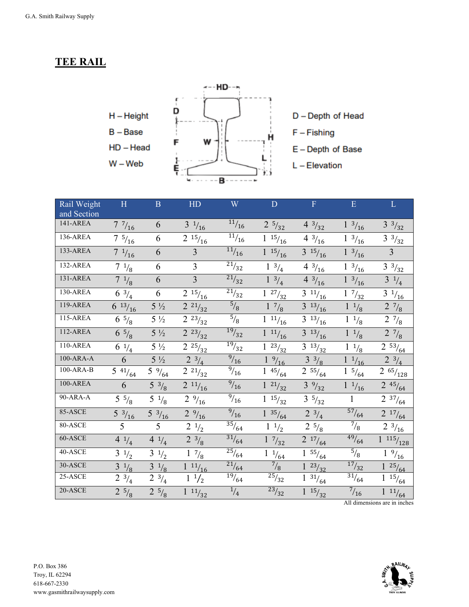## **TEE RAIL**



| Rail Weight     | H                               | $\mathbf{B}$                   | HD                                        | W                  | ${\bf D}$                       | ${\bf F}$                        | $\mathbf E$                          | $\mathbf L$                        |
|-----------------|---------------------------------|--------------------------------|-------------------------------------------|--------------------|---------------------------------|----------------------------------|--------------------------------------|------------------------------------|
| and Section     |                                 |                                |                                           |                    |                                 |                                  |                                      |                                    |
| 141-AREA        | 77/16                           | 6                              | $3 \frac{1}{16}$                          | 11/16              | $2\frac{5}{32}$                 | $4 \frac{3}{32}$                 | $1 \frac{3}{16}$                     | $3^{3}/_{32}$                      |
| $136-AREA$      | $7\frac{5}{16}$                 | 6                              | $\frac{1}{2}$ 15/ <sub>16</sub>           | 11/16              | $\frac{1}{1}$ 15/ <sub>16</sub> | $\frac{1}{4}$ 3/ <sub>16</sub>   | $\frac{1}{1}$ $\frac{3}{16}$         | $3 \frac{3}{32}$                   |
| 133-AREA        | $7 \frac{1}{16}$                | 6                              | $\overline{3}$                            | $\frac{11}{16}$    | $\frac{1}{1}$ 15/ <sub>16</sub> | $3\frac{15}{16}$                 | $\frac{1}{3}$ $\frac{3}{16}$         | $\overline{3}$                     |
| 132-AREA        | $\frac{1}{7}$ $\frac{1}{8}$     | 6                              | $\overline{3}$                            | $\frac{1}{21}/32$  | $\frac{1}{1}$ $\frac{3}{4}$     | $\frac{1}{4}$ $\frac{3}{16}$     | $\frac{1}{1}$ $\frac{3}{16}$         | $\frac{1}{3}$ $\frac{3}{32}$       |
| 131-AREA        | $7\frac{1}{8}$                  | 6                              | $\overline{3}$                            | 21/32              | $1 \frac{3}{4}$                 | $4 \frac{3}{16}$                 | $1 \frac{3}{16}$                     | $3 \frac{1}{4}$                    |
| $130-AREA$      | $6 \frac{3}{4}$                 | 6                              | $\frac{1}{2}$ 15/ <sub>16</sub>           | $\frac{1}{21}/32$  | $\frac{1}{1}$ $\frac{27}{32}$   | $\frac{1}{3}$ 11/ <sub>16</sub>  | $\frac{1}{1}$ $\frac{7}{32}$         | $\frac{1}{3}$ $\frac{1}{16}$       |
| 119-AREA        | $6\frac{13}{16}$                | $5\frac{1}{2}$                 | $2^{21}/_{32}$                            | $^{5}/_{8}$        | $1 \frac{7}{8}$                 | $3\frac{13}{16}$                 | $1 \frac{1}{8}$                      | $2 \frac{7}{8}$                    |
| $115-AREA$      | $6\frac{5}{8}$                  | $5\frac{1}{2}$                 | $2^{23}/_{32}$                            | $\overline{5}/_8$  | $1 \frac{11}{16}$               | $\frac{13}{16}$                  | $1 \frac{1}{8}$                      | $2 \frac{7}{8}$                    |
| $112-AREA$      | $6\frac{5}{8}$                  | $5\frac{1}{2}$                 | $2^{23}/_{32}$                            | $\frac{19}{32}$    | $\frac{1}{1}$ $\frac{11}{16}$   | $3^{13}/_{16}$                   | $1 \frac{1}{8}$                      | $2 \frac{7}{8}$                    |
| 110-AREA        | $6\frac{1}{4}$                  | $5\frac{1}{2}$                 | $\frac{1}{2}$ $25/32$                     | $\frac{19}{32}$    | $\frac{1}{1}$ 23/ <sub>32</sub> | $\frac{13}{3}$ 13/ <sub>32</sub> | $^{1}\!/_{\text{8}}$<br>$\mathbf{1}$ | $\frac{1}{2}$ 53/ <sub>64</sub>    |
| $100-ARA-A$     | 6                               | $5\frac{1}{2}$                 | $2^{3}/_{4}$                              | $\frac{9}{16}$     | $^{9}/_{16}$                    | $3^{3}/_{8}$                     | $1 \frac{1}{16}$                     | $2 \frac{3}{4}$                    |
| 100-ARA-B       | $\frac{1}{5}$ 41/ <sub>64</sub> | $\frac{1}{5}$ % $\frac{9}{64}$ | $\overline{2}$ 21/ <sub>32</sub>          | $^{9}/_{16}$       | $\frac{1}{1}$ 45/ <sub>64</sub> | $2\,$ $^{55}\!/_{64}$            | $\frac{1}{1}$ 5/ <sub>64</sub>       | $2 \frac{65}{128}$                 |
| <b>100-AREA</b> | 6                               | $5 \frac{3}{8}$                | $2 \frac{11}{16}$                         | $^{9}/_{16}$       | $1 \frac{21}{32}$               | $3\frac{9}{32}$                  | $1 \frac{1}{16}$                     | $2 \frac{45}{64}$                  |
| 90-ARA-A        | $\frac{1}{5}$ 5/ <sub>8</sub>   | $5 \frac{1}{8}$                | $\frac{1}{2}$ % $\frac{9}{16}$            | $\frac{9}{16}$     | $1 \frac{15}{32}$               | $\frac{1}{3}$ 5/ <sub>32</sub>   | $\mathbf{1}$                         | $\frac{1}{2}$ 37/ <sub>64</sub>    |
| 85-ASCE         | $\frac{1}{5}$ $\frac{3}{16}$    | $\frac{1}{5}$ $\frac{3}{16}$   | $2 \frac{9}{16}$                          | $^{9}/_{16}$       | 35/64<br>$\mathbf{1}$           | $2^{3}/_{4}$                     | $\frac{57}{64}$                      | $2^{-17}/_{64}$                    |
| 80-ASCE         | 5                               | 5                              | $2 \frac{1}{2}$                           | $\frac{1}{35}/64$  | $1 \frac{1}{2}$                 | $2\frac{5}{8}$                   | $^{7}/_8$                            | $\frac{1}{2}$ $\frac{3}{16}$       |
| $60 - ASCE$     | $\frac{1}{4}$                   | $\frac{1}{4}$                  | $2 \frac{3}{8}$                           | $\frac{31}{64}$    | $1 \frac{7}{32}$                | $2^{17}/_{64}$                   | $\frac{49}{64}$                      | $\overline{1}$ 115/ <sub>128</sub> |
| 40-ASCE         | $\frac{1}{3}$ $\frac{1}{2}$     | $\frac{1}{3}$ $\frac{1}{2}$    | $\frac{1}{1}$ $\frac{7}{8}$               | $\frac{25}{64}$    | $\frac{1}{1}$ $\frac{1}{64}$    | $\frac{1}{1}$ 55/ <sub>64</sub>  | $\frac{5}{8}$                        | $\frac{1}{1}$ $\frac{9}{16}$       |
| 30-ASCE         | $3 \frac{1}{8}$                 | $3 \frac{1}{8}$                | $\frac{1}{1}$ $\frac{11}{16}$             | $\frac{21}{64}$    | $^{7}/_{8}$                     | $1^{23}/_{32}$                   | $\frac{17}{32}$                      | $1^{25}/_{64}$                     |
| $25 - ASCE$     | $2 \frac{3}{4}$                 | $\frac{1}{2}$ $\frac{3}{4}$    | $\frac{1}{1}$ <sup>1</sup> / <sub>2</sub> | $\frac{19}{19}/64$ | $^{25}/_{32}$                   | $\frac{1}{1}$ 31/ <sub>64</sub>  | $\frac{31}{64}$                      | $\frac{1}{1}$ 15/ <sub>64</sub>    |
| 20-ASCE         | $2\,$ $^{5}\!/_{\rm 8}$         | $2 \frac{5}{8}$                | $1 \frac{11}{32}$                         | $\frac{1}{4}$      | $\frac{23}{32}$                 | $1^{15}/_{32}$                   | $^{7}/_{16}$                         | $\frac{1}{1}$ $\frac{11}{64}$      |

All dimensions are in inches